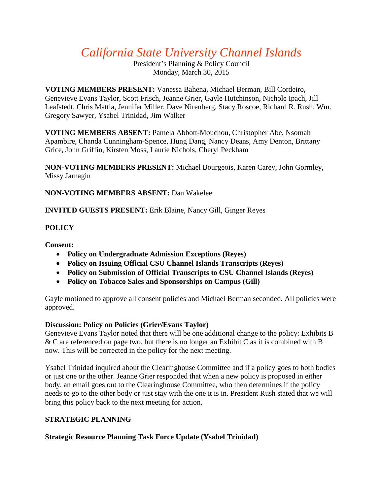# *California State University Channel Islands*

President's Planning & Policy Council Monday, March 30, 2015

**VOTING MEMBERS PRESENT:** Vanessa Bahena, Michael Berman, Bill Cordeiro, Genevieve Evans Taylor, Scott Frisch, Jeanne Grier, Gayle Hutchinson, Nichole Ipach, Jill Leafstedt, Chris Mattia, Jennifer Miller, Dave Nirenberg, Stacy Roscoe, Richard R. Rush, Wm. Gregory Sawyer, Ysabel Trinidad, Jim Walker

**VOTING MEMBERS ABSENT:** Pamela Abbott-Mouchou, Christopher Abe, Nsomah Apambire, Chanda Cunningham-Spence, Hung Dang, Nancy Deans, Amy Denton, Brittany Grice, John Griffin, Kirsten Moss, Laurie Nichols, Cheryl Peckham

**NON-VOTING MEMBERS PRESENT:** Michael Bourgeois, Karen Carey, John Gormley, Missy Jarnagin

**NON-VOTING MEMBERS ABSENT:** Dan Wakelee

**INVITED GUESTS PRESENT:** Erik Blaine, Nancy Gill, Ginger Reyes

## **POLICY**

**Consent:**

- **Policy on Undergraduate Admission Exceptions (Reyes)**
- **Policy on Issuing Official CSU Channel Islands Transcripts (Reyes)**
- **Policy on Submission of Official Transcripts to CSU Channel Islands (Reyes)**
- **Policy on Tobacco Sales and Sponsorships on Campus (Gill)**

Gayle motioned to approve all consent policies and Michael Berman seconded. All policies were approved.

## **Discussion: Policy on Policies (Grier/Evans Taylor)**

Genevieve Evans Taylor noted that there will be one additional change to the policy: Exhibits B & C are referenced on page two, but there is no longer an Exhibit C as it is combined with B now. This will be corrected in the policy for the next meeting.

Ysabel Trinidad inquired about the Clearinghouse Committee and if a policy goes to both bodies or just one or the other. Jeanne Grier responded that when a new policy is proposed in either body, an email goes out to the Clearinghouse Committee, who then determines if the policy needs to go to the other body or just stay with the one it is in. President Rush stated that we will bring this policy back to the next meeting for action.

## **STRATEGIC PLANNING**

## **Strategic Resource Planning Task Force Update (Ysabel Trinidad)**